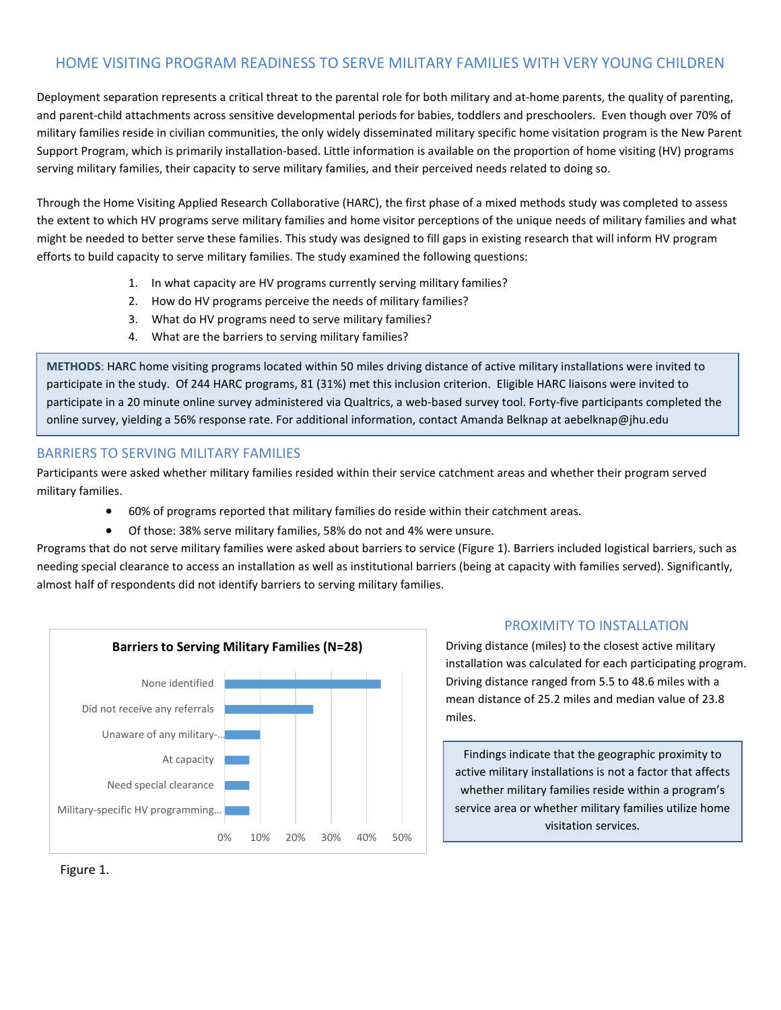## HOME VISITING PROGRAM READINESS TO SERVE MILITARY FAMILIES WITH VERY YOUNG CHILDREN

Deployment separation represents a critical threat to the parental role for both military and at-home parents, the quality of parenting, and parent-child attachments across sensitive developmental periods for babies, toddlers and preschoolers. Even though over 70% of military families reside in civilian communities, the only widely disseminated military specific home visitation program is the New Parent Support Program, which is primarily installation-based. Little information is available on the proportion of home visiting (HV) programs serving military families, their capacity to serve military families, and their perceived needs related to doing so.

Through the Home Visiting Applied Research Collaborative (HARC), the first phase of a mixed methods study was completed to assess the extent to which HV programs serve military families and home visitor perceptions of the unique needs of military families and what might be needed to better serve these families. This study was designed to fill gaps in existing research that will inform HV program efforts to build capacity to serve military families. The study examined the following questions:

- 1. In what capacity are HV programs currently serving military families?
- 2. How do HV programs perceive the needs of military families?
- 3. What do HV programs need to serve military families?
- 4. What are the barriers to serving military families?

**METHODS**: HARC home visiting programs located within 50 miles driving distance of active military installations were invited to participate in the study. Of 244 HARC programs, 81 (31%) met this inclusion criterion. Eligible HARC liaisons were invited to participate in a 20 minute online survey administered via Qualtrics, a web-based survey tool. Forty-five participants completed the online survey, yielding a 56% response rate. For additional information, contact Amanda Belknap at aebelknap@jhu.edu

### BARRIERS TO SERVING MILITARY FAMILIES

Participants were asked whether military families resided within their service catchment areas and whether their program served military families.

- 60% of programs reported that military families do reside within their catchment areas.
- Of those: 38% serve military families, 58% do not and 4% were unsure.

Programs that do not serve military families were asked about barriers to service (Figure 1). Barriers included logistical barriers, such as needing special clearance to access an installation as well as institutional barriers (being at capacity with families served). Significantly, almost half of respondents did not identify barriers to serving military families.



### PROXIMITY TO INSTALLATION

Driving distance (miles) to the closest active military installation was calculated for each participating program. Driving distance ranged from 5.5 to 48.6 miles with a mean distance of 25.2 miles and median value of 23.8 miles.

Findings indicate that the geographic proximity to active military installations is not a factor that affects whether military families reside within a program's service area or whether military families utilize home visitation services.

Figure 1.